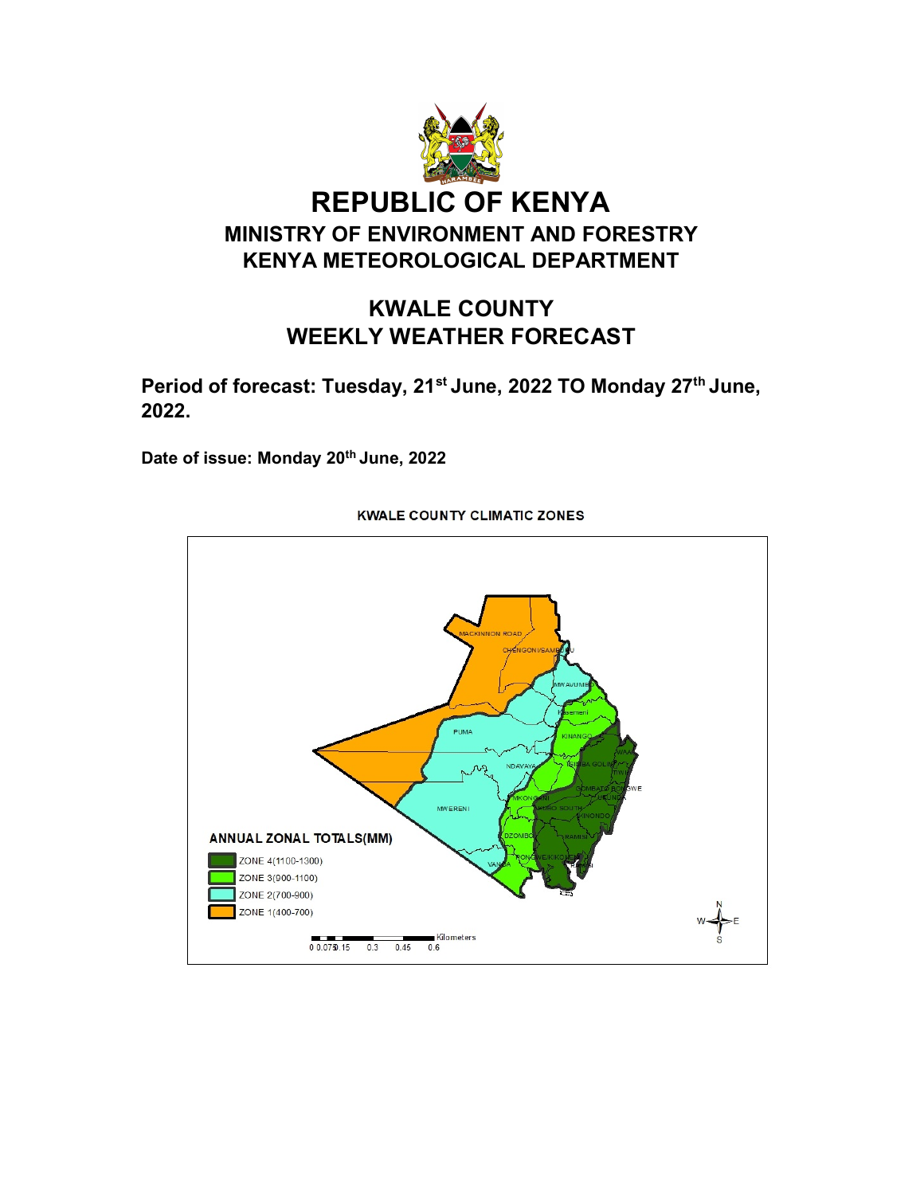

# KWALE COUNTY WEEKLY WEATHER FORECAST

Period of forecast: Tuesday, 21<sup>st</sup> June, 2022 TO Monday 27<sup>th</sup> June, 2022.

Date of issue: Monday 20<sup>th</sup> June, 2022



#### **KWALE COUNTY CLIMATIC ZONES**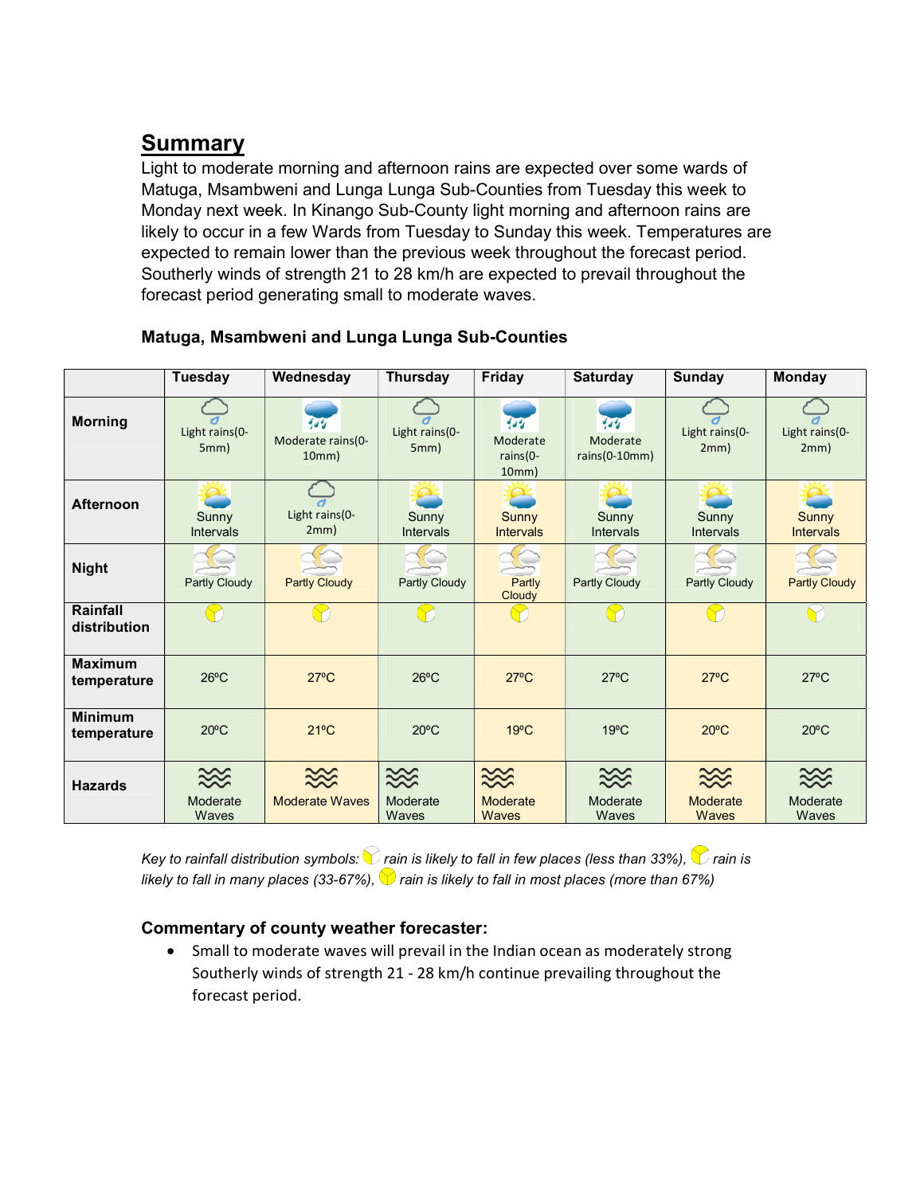# Summary

Light to moderate morning and afternoon rains are expected over some wards of Matuga, Msambweni and Lunga Lunga Sub-Counties from Tuesday this week to Monday next week. In Kinango Sub-County light morning and afternoon rains are likely to occur in a few Wards from Tuesday to Sunday this week. Temperatures are expected to remain lower than the previous week throughout the forecast period. Southerly winds of strength 21 to 28 km/h are expected to prevail throughout the forecast period generating small to moderate waves.

|                               | <b>Tuesday</b>         | Wednesday                                     | <b>Thursday</b>           | Friday                               | <b>Saturday</b>                    | <b>Sunday</b>                | <b>Monday</b>             |
|-------------------------------|------------------------|-----------------------------------------------|---------------------------|--------------------------------------|------------------------------------|------------------------------|---------------------------|
| <b>Morning</b>                | Light rains(0-<br>5mm) | $^{\prime}$ d d<br>Moderate rains(0-<br>10mm) | Light rains(0-<br>5mm)    | 474<br>Moderate<br>rains(0-<br>10mm) | يوه<br>Moderate<br>$rains(0-10mm)$ | Light rains(0-<br>2mm)       | Light rains(0-<br>2mm)    |
| <b>Afternoon</b>              | Sunny<br>Intervals     | Light rains(0-<br>2mm)                        | Sunny<br><b>Intervals</b> | Sunny<br><b>Intervals</b>            | Sunny<br><b>Intervals</b>          | Sunny<br><b>Intervals</b>    | Sunny<br><b>Intervals</b> |
| <b>Night</b>                  | Partly Cloudy          | <b>Partly Cloudy</b>                          | <b>Partly Cloudy</b>      | Partly<br>Cloudy                     | <b>Partly Cloudy</b>               | <b>Partly Cloudy</b>         | <b>Partly Cloudy</b>      |
| Rainfall<br>distribution      |                        |                                               |                           |                                      |                                    |                              |                           |
| <b>Maximum</b><br>temperature | $26^{\circ}$ C         | $27^{\circ}$ C                                | $26^{\circ}$ C            | $27^{\circ}$ C                       | $27^{\circ}$ C                     | $27^{\circ}$ C               | $27^{\circ}$ C            |
| <b>Minimum</b><br>temperature | $20^{\circ}$ C         | $21^{\circ}$ C                                | $20^{\circ}$ C            | $19^{\circ}$ C                       | $19^{\circ}$ C                     | $20^{\circ}$ C               | $20^{\circ}$ C            |
| <b>Hazards</b>                | $\approx$<br>Moderate  | $\approx$<br><b>Moderate Waves</b>            | $\ggg$<br>Moderate        | $\ggg$<br>Moderate                   | $\approx$<br>Moderate              | $\approx$<br><b>Moderate</b> | Moderate                  |
|                               | Waves                  |                                               | Waves                     | Waves                                | Waves                              | Waves                        | Waves                     |

## Matuga, Msambweni and Lunga Lunga Sub-Counties

Key to rainfall distribution symbols:  $\bigcirc$  rain is likely to fall in few places (less than 33%),  $\bigcirc$  rain is likely to fall in many places (33-67%),  $\bigcirc$  rain is likely to fall in most places (more than 67%)

## Commentary of county weather forecaster:

 Small to moderate waves will prevail in the Indian ocean as moderately strong Southerly winds of strength 21 - 28 km/h continue prevailing throughout the forecast period.